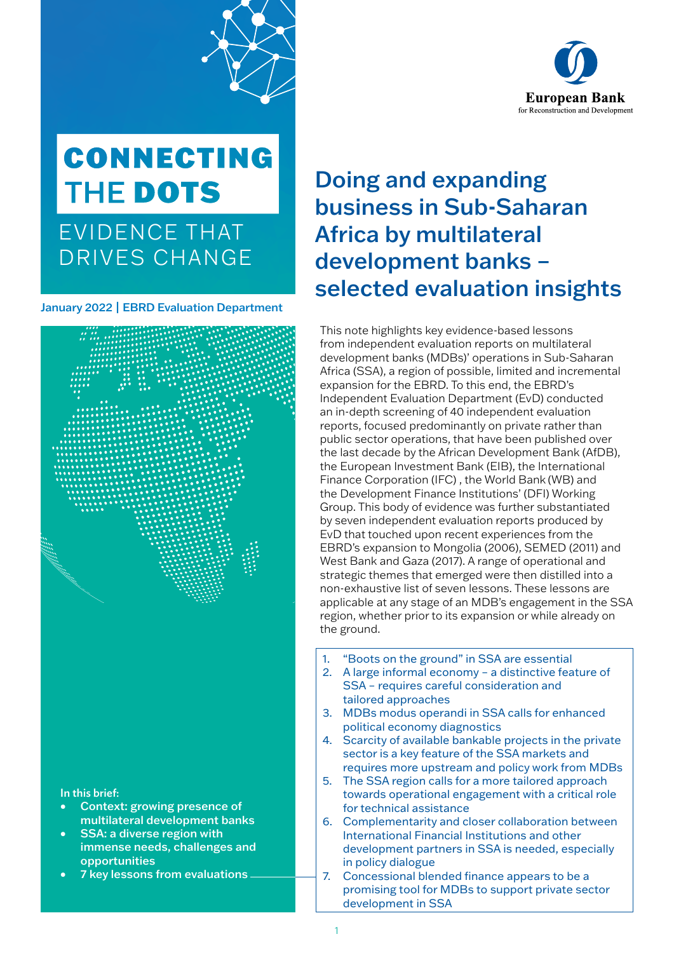

# **CONNECTING** THE DOTS

EVIDENCE THAT DRIVES CHANGE

January 2022 | EBRD Evaluation Department



- opportunities
- 7 key lessons from evaluations

# Doing and expanding business in Sub-Saharan Africa by multilateral development banks – selected evaluation insights

This note highlights key evidence-based lessons from independent evaluation reports on multilateral development banks (MDBs)' operations in Sub-Saharan Africa (SSA), a region of possible, limited and incremental expansion for the EBRD. To this end, the EBRD's Independent Evaluation Department (EvD) conducted an in-depth screening of 40 independent evaluation reports, focused predominantly on private rather than public sector operations, that have been published over the last decade by the African Development Bank (AfDB), the European Investment Bank (EIB), the International Finance Corporation (IFC) , the World Bank (WB) and the Development Finance Institutions' (DFI) Working Group. This body of evidence was further substantiated by seven independent evaluation reports produced by EvD that touched upon recent experiences from the EBRD's expansion to Mongolia (2006), SEMED (2011) and West Bank and Gaza (2017). A range of operational and strategic themes that emerged were then distilled into a non-exhaustive list of seven lessons. These lessons are applicable at any stage of an MDB's engagement in the SSA region, whether prior to its expansion or while already on the ground.

- 1. "Boots on the ground" in SSA are essential
- 2. A large informal economy a distinctive feature of SSA – requires careful consideration and tailored approaches
- 3. MDBs modus operandi in SSA calls for enhanced political economy diagnostics
- 4. Scarcity of available bankable projects in the private sector is a key feature of the SSA markets and requires more upstream and policy work from MDBs
- 5. The SSA region calls for a more tailored approach towards operational engagement with a critical role for technical assistance
- 6. Complementarity and closer collaboration between International Financial Institutions and other development partners in SSA is needed, especially in policy dialogue
- 7. Concessional blended finance appears to be a promising tool for MDBs to support private sector development in SSA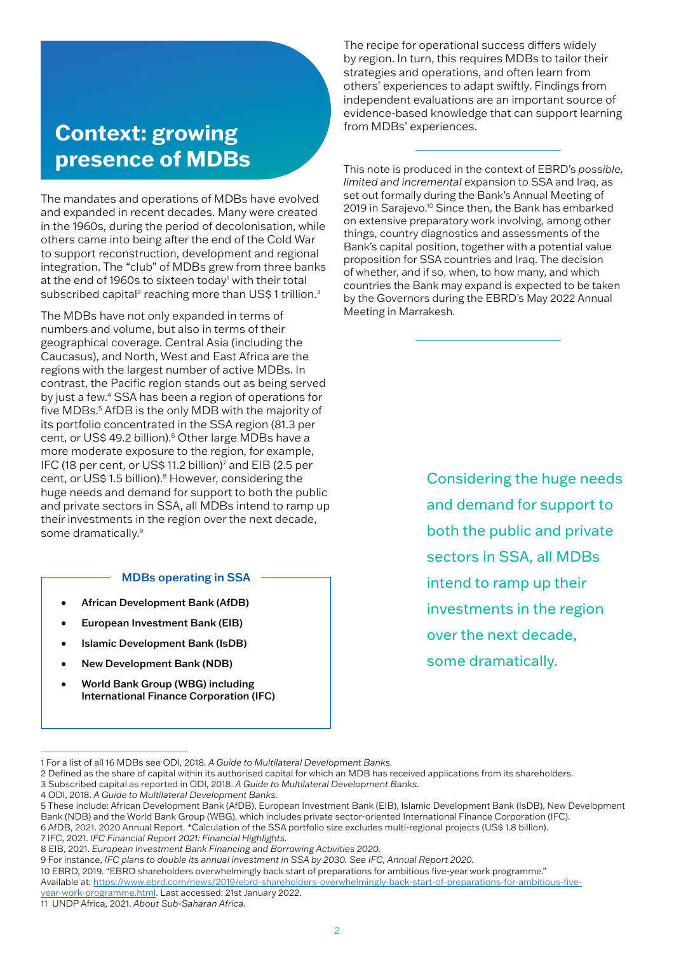# **Context: growing presence of MDBs**

The mandates and operations of MDBs have evolved and expanded in recent decades. Many were created in the 1960s, during the period of decolonisation, while others came into being after the end of the Cold War to support reconstruction, development and regional integration. The "club" of MDBs grew from three banks at the end of 1960s to sixteen today<sup>1</sup> with their total subscribed capital<sup>2</sup> reaching more than US\$1 trillion.<sup>3</sup>

The MDBs have not only expanded in terms of numbers and volume, but also in terms of their geographical coverage. Central Asia (including the Caucasus), and North, West and East Africa are the regions with the largest number of active MDBs. In contrast, the Pacific region stands out as being served by just a few.4 SSA has been a region of operations for five MDBs.5 AfDB is the only MDB with the majority of its portfolio concentrated in the SSA region (81.3 per cent, or US\$ 49.2 billion).<sup>6</sup> Other large MDBs have a more moderate exposure to the region, for example, IFC (18 per cent, or US\$ 11.2 billion)<sup>7</sup> and EIB (2.5 per cent, or US\$ 1.5 billion).<sup>8</sup> However, considering the huge needs and demand for support to both the public and private sectors in SSA, all MDBs intend to ramp up their investments in the region over the next decade, some dramatically.<sup>9</sup>

#### MDBs operating in SSA

- African Development Bank (AfDB)
- European Investment Bank (EIB)
- Islamic Development Bank (IsDB)
- New Development Bank (NDB)
- World Bank Group (WBG) including International Finance Corporation (IFC)

The recipe for operational success differs widely by region. In turn, this requires MDBs to tailor their strategies and operations, and often learn from others' experiences to adapt swiftly. Findings from independent evaluations are an important source of evidence-based knowledge that can support learning from MDBs' experiences.

This note is produced in the context of EBRD's *possible, limited and incremental* expansion to SSA and Iraq, as set out formally during the Bank's Annual Meeting of 2019 in Sarajevo.10 Since then, the Bank has embarked on extensive preparatory work involving, among other things, country diagnostics and assessments of the Bank's capital position, together with a potential value proposition for SSA countries and Iraq. The decision of whether, and if so, when, to how many, and which countries the Bank may expand is expected to be taken by the Governors during the EBRD's May 2022 Annual Meeting in Marrakesh.

> Considering the huge needs and demand for support to both the public and private sectors in SSA, all MDBs intend to ramp up their investments in the region over the next decade, some dramatically.

<sup>1</sup> For a list of all 16 MDBs see ODI, 2018. *A Guide to Multilateral Development Banks.*

<sup>2</sup> Defined as the share of capital within its authorised capital for which an MDB has received applications from its shareholders.

<sup>3</sup> Subscribed capital as reported in ODI, 2018. *A Guide to Multilateral Development Banks.*

<sup>4</sup> ODI, 2018. *A Guide to Multilateral Development Banks.* 

<sup>5</sup> These include: African Development Bank (AfDB), European Investment Bank (EIB), Islamic Development Bank (IsDB), New Development Bank (NDB) and the World Bank Group (WBG), which includes private sector-oriented International Finance Corporation (IFC). 6 AfDB, 2021. 2020 Annual Report. \*Calculation of the SSA portfolio size excludes multi-regional projects (US\$ 1.8 billion).

<sup>7</sup> IFC, 2021. *IFC Financial Report 2021: Financial Highlights.* 

<sup>8</sup> EIB, 2021. *European Investment Bank Financing and Borrowing Activities 2020.* 

<sup>9</sup> For instance, *IFC plans to double its annual investment in SSA by 2030. See IFC, Annual Report 2020.*

<sup>10</sup> EBRD, 2019. "EBRD shareholders overwhelmingly back start of preparations for ambitious five-year work programme." Available at: https://www.ebrd.com/news/2019/ebrd-shareholders-overwhelmingly-back-start-of-preparations-for-ambitious-fiveyear-work-programme.html. Last accessed: 21st January 2022.

<sup>11</sup> UNDP Africa, 2021. *About Sub-Saharan Africa.*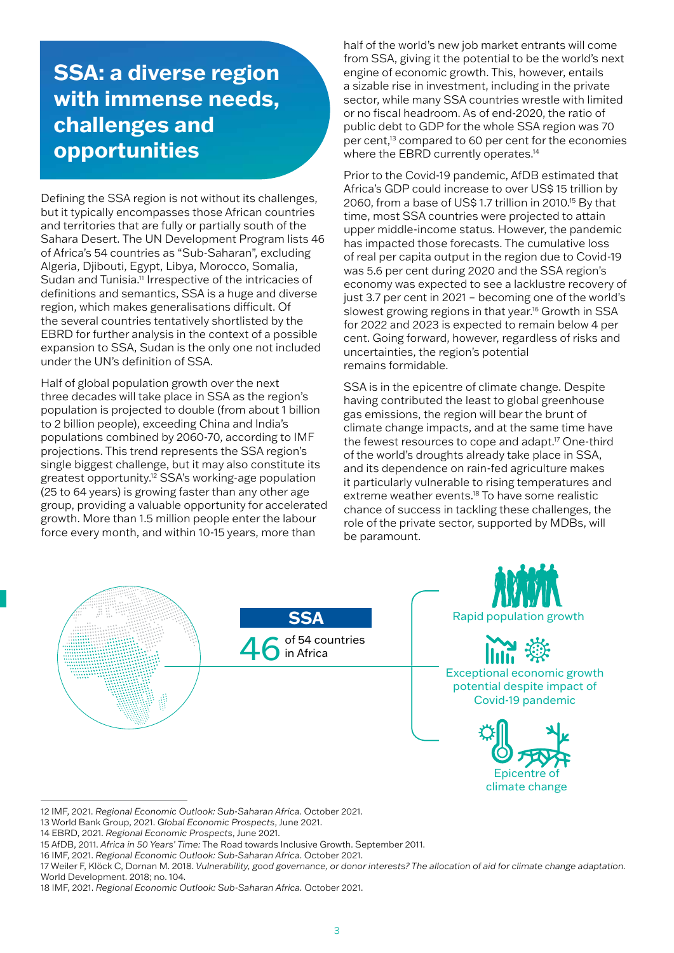# **SSA: a diverse region with immense needs, challenges and opportunities**

Defining the SSA region is not without its challenges, but it typically encompasses those African countries and territories that are fully or partially south of the Sahara Desert. The UN Development Program lists 46 of Africa's 54 countries as "Sub-Saharan", excluding Algeria, Djibouti, Egypt, Libya, Morocco, Somalia, Sudan and Tunisia.11 Irrespective of the intricacies of definitions and semantics, SSA is a huge and diverse region, which makes generalisations difficult. Of the several countries tentatively shortlisted by the EBRD for further analysis in the context of a possible expansion to SSA, Sudan is the only one not included under the UN's definition of SSA.

Half of global population growth over the next three decades will take place in SSA as the region's population is projected to double (from about 1 billion to 2 billion people), exceeding China and India's populations combined by 2060-70, according to IMF projections. This trend represents the SSA region's single biggest challenge, but it may also constitute its greatest opportunity.12 SSA's working-age population (25 to 64 years) is growing faster than any other age group, providing a valuable opportunity for accelerated growth. More than 1.5 million people enter the labour force every month, and within 10-15 years, more than

half of the world's new job market entrants will come from SSA, giving it the potential to be the world's next engine of economic growth. This, however, entails a sizable rise in investment, including in the private sector, while many SSA countries wrestle with limited or no fiscal headroom. As of end-2020, the ratio of public debt to GDP for the whole SSA region was 70 per cent,<sup>13</sup> compared to 60 per cent for the economies where the EBRD currently operates.<sup>14</sup>

Prior to the Covid-19 pandemic, AfDB estimated that Africa's GDP could increase to over US\$ 15 trillion by 2060, from a base of US\$ 1.7 trillion in 2010.15 By that time, most SSA countries were projected to attain upper middle-income status. However, the pandemic has impacted those forecasts. The cumulative loss of real per capita output in the region due to Covid-19 was 5.6 per cent during 2020 and the SSA region's economy was expected to see a lacklustre recovery of just 3.7 per cent in 2021 – becoming one of the world's slowest growing regions in that year.<sup>16</sup> Growth in SSA for 2022 and 2023 is expected to remain below 4 per cent. Going forward, however, regardless of risks and uncertainties, the region's potential remains formidable.

SSA is in the epicentre of climate change. Despite having contributed the least to global greenhouse gas emissions, the region will bear the brunt of climate change impacts, and at the same time have the fewest resources to cope and adapt.<sup>17</sup> One-third of the world's droughts already take place in SSA, and its dependence on rain-fed agriculture makes it particularly vulnerable to rising temperatures and extreme weather events.<sup>18</sup> To have some realistic chance of success in tackling these challenges, the role of the private sector, supported by MDBs, will be paramount.







Exceptional economic growth potential despite impact of Covid-19 pandemic



<sup>12</sup> IMF, 2021. *Regional Economic Outlook: Sub-Saharan Africa.* October 2021.

<sup>13</sup> World Bank Group, 2021. *Global Economic Prospects*, June 2021.

<sup>14</sup> EBRD, 2021. *Regional Economic Prospects*, June 2021.

<sup>15</sup> AfDB, 2011. *Africa in 50 Years' Time:* The Road towards Inclusive Growth. September 2011.

<sup>16</sup> IMF, 2021. *Regional Economic Outlook: Sub-Saharan Africa*. October 2021.

<sup>17</sup> Weiler F, Klöck C, Dornan M. 2018. *Vulnerability, good governance, or donor interests? The allocation of aid for climate change adaptation.*  World Development. 2018; no. 104.

<sup>18</sup> IMF, 2021. *Regional Economic Outlook: Sub-Saharan Africa.* October 2021.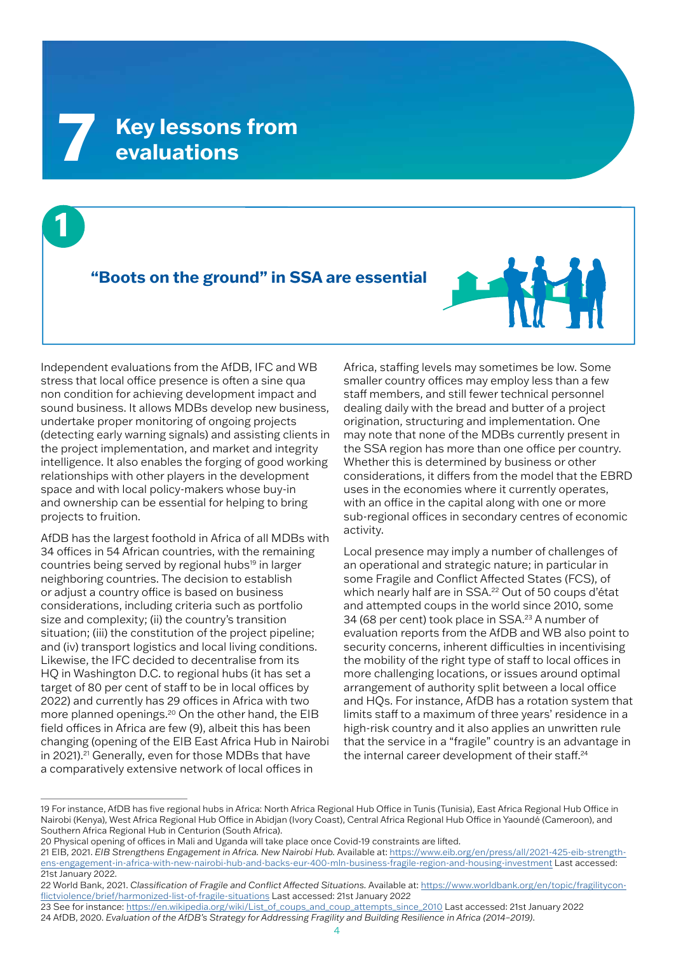**1**

## **"Boots on the ground" in SSA are essential**



Independent evaluations from the AfDB, IFC and WB stress that local office presence is often a sine qua non condition for achieving development impact and sound business. It allows MDBs develop new business, undertake proper monitoring of ongoing projects (detecting early warning signals) and assisting clients in the project implementation, and market and integrity intelligence. It also enables the forging of good working relationships with other players in the development space and with local policy-makers whose buy-in and ownership can be essential for helping to bring projects to fruition.

AfDB has the largest foothold in Africa of all MDBs with 34 offices in 54 African countries, with the remaining countries being served by regional hubs<sup>19</sup> in larger neighboring countries. The decision to establish or adjust a country office is based on business considerations, including criteria such as portfolio size and complexity; (ii) the country's transition situation; (iii) the constitution of the project pipeline; and (iv) transport logistics and local living conditions. Likewise, the IFC decided to decentralise from its HQ in Washington D.C. to regional hubs (it has set a target of 80 per cent of staff to be in local offices by 2022) and currently has 29 offices in Africa with two more planned openings.20 On the other hand, the EIB field offices in Africa are few (9), albeit this has been changing (opening of the EIB East Africa Hub in Nairobi in 2021).<sup>21</sup> Generally, even for those MDBs that have a comparatively extensive network of local offices in

Africa, staffing levels may sometimes be low. Some smaller country offices may employ less than a few staff members, and still fewer technical personnel dealing daily with the bread and butter of a project origination, structuring and implementation. One may note that none of the MDBs currently present in the SSA region has more than one office per country. Whether this is determined by business or other considerations, it differs from the model that the EBRD uses in the economies where it currently operates, with an office in the capital along with one or more sub-regional offices in secondary centres of economic activity.

Local presence may imply a number of challenges of an operational and strategic nature; in particular in some Fragile and Conflict Affected States (FCS), of which nearly half are in SSA.<sup>22</sup> Out of 50 coups d'état and attempted coups in the world since 2010, some 34 (68 per cent) took place in SSA.<sup>23</sup> A number of evaluation reports from the AfDB and WB also point to security concerns, inherent difficulties in incentivising the mobility of the right type of staff to local offices in more challenging locations, or issues around optimal arrangement of authority split between a local office and HQs. For instance, AfDB has a rotation system that limits staff to a maximum of three years' residence in a high-risk country and it also applies an unwritten rule that the service in a "fragile" country is an advantage in the internal career development of their staff.<sup>24</sup>

<sup>19</sup> For instance, AfDB has five regional hubs in Africa: North Africa Regional Hub Office in Tunis (Tunisia), East Africa Regional Hub Office in Nairobi (Kenya), West Africa Regional Hub Office in Abidjan (Ivory Coast), Central Africa Regional Hub Office in Yaoundé (Cameroon), and Southern Africa Regional Hub in Centurion (South Africa).

<sup>20</sup> Physical opening of offices in Mali and Uganda will take place once Covid-19 constraints are lifted.

<sup>21</sup> EIB, 2021. *EIB Strengthens Engagement in Africa. New Nairobi Hub.* Available at: https://www.eib.org/en/press/all/2021-425-eib-strengthens-engagement-in-africa-with-new-nairobi-hub-and-backs-eur-400-mln-business-fragile-region-and-housing-investment Last accessed: 21st January 2022.

<sup>22</sup> World Bank, 2021. *Classification of Fragile and Conflict Affected Situations.* Available at: https://www.worldbank.org/en/topic/fragilityconflictviolence/brief/harmonized-list-of-fragile-situations Last accessed: 21st January 2022

<sup>23</sup> See for instance: https://en.wikipedia.org/wiki/List\_of\_coups\_and\_coup\_attempts\_since\_2010 Last accessed: 21st January 2022 24 AfDB, 2020. *Evaluation of the AfDB's Strategy for Addressing Fragility and Building Resilience in Africa (2014–2019)*.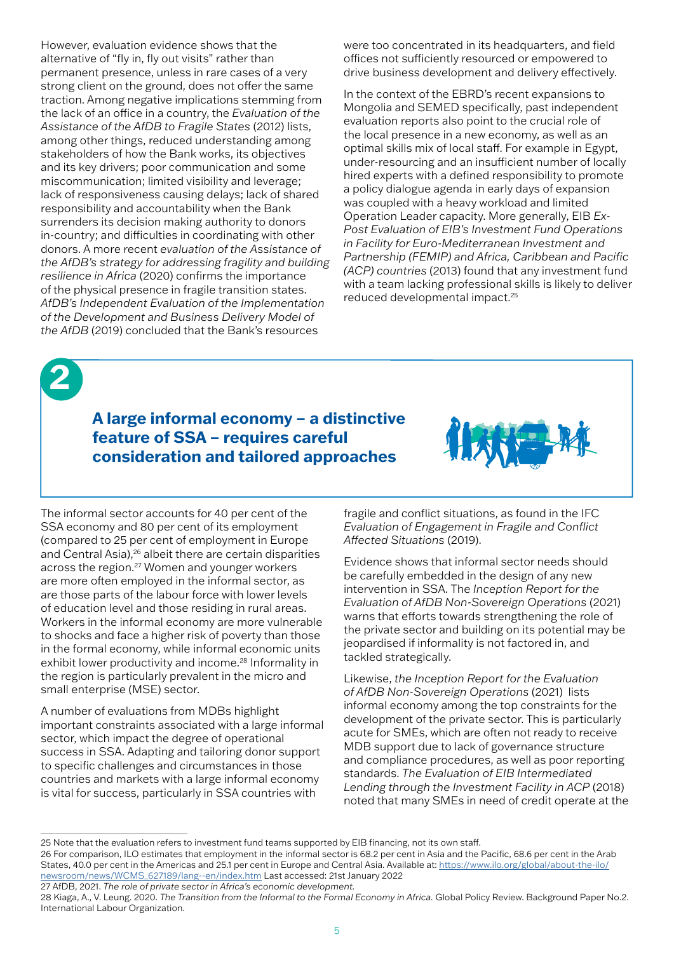However, evaluation evidence shows that the alternative of "fly in, fly out visits" rather than permanent presence, unless in rare cases of a very strong client on the ground, does not offer the same traction. Among negative implications stemming from the lack of an office in a country, the *Evaluation of the Assistance of the AfDB to Fragile States* (2012) lists, among other things, reduced understanding among stakeholders of how the Bank works, its objectives and its key drivers; poor communication and some miscommunication; limited visibility and leverage; lack of responsiveness causing delays; lack of shared responsibility and accountability when the Bank surrenders its decision making authority to donors in-country; and difficulties in coordinating with other donors. A more recent *evaluation of the Assistance of the AfDB's strategy for addressing fragility and building resilience in Africa* (2020) confirms the importance of the physical presence in fragile transition states. *AfDB's Independent Evaluation of the Implementation of the Development and Business Delivery Model of the AfDB* (2019) concluded that the Bank's resources

were too concentrated in its headquarters, and field offices not sufficiently resourced or empowered to drive business development and delivery effectively.

In the context of the EBRD's recent expansions to Mongolia and SEMED specifically, past independent evaluation reports also point to the crucial role of the local presence in a new economy, as well as an optimal skills mix of local staff. For example in Egypt, under-resourcing and an insufficient number of locally hired experts with a defined responsibility to promote a policy dialogue agenda in early days of expansion was coupled with a heavy workload and limited Operation Leader capacity. More generally, EIB *Ex-Post Evaluation of EIB's Investment Fund Operations in Facility for Euro-Mediterranean Investment and Partnership (FEMIP) and Africa, Caribbean and Pacific (ACP) countries* (2013) found that any investment fund with a team lacking professional skills is likely to deliver reduced developmental impact.25



## **A large informal economy – a distinctive feature of SSA – requires careful consideration and tailored approaches**



The informal sector accounts for 40 per cent of the SSA economy and 80 per cent of its employment (compared to 25 per cent of employment in Europe and Central Asia),<sup>26</sup> albeit there are certain disparities across the region.27 Women and younger workers are more often employed in the informal sector, as are those parts of the labour force with lower levels of education level and those residing in rural areas. Workers in the informal economy are more vulnerable to shocks and face a higher risk of poverty than those in the formal economy, while informal economic units exhibit lower productivity and income.<sup>28</sup> Informality in the region is particularly prevalent in the micro and small enterprise (MSE) sector.

A number of evaluations from MDBs highlight important constraints associated with a large informal sector, which impact the degree of operational success in SSA. Adapting and tailoring donor support to specific challenges and circumstances in those countries and markets with a large informal economy is vital for success, particularly in SSA countries with

fragile and conflict situations, as found in the IFC *Evaluation of Engagement in Fragile and Conflict Affected Situations* (2019).

Evidence shows that informal sector needs should be carefully embedded in the design of any new intervention in SSA. The *Inception Report for the Evaluation of AfDB Non-Sovereign Operations* (2021) warns that efforts towards strengthening the role of the private sector and building on its potential may be jeopardised if informality is not factored in, and tackled strategically.

Likewise, *the Inception Report for the Evaluation of AfDB Non-Sovereign Operations* (2021) lists informal economy among the top constraints for the development of the private sector. This is particularly acute for SMEs, which are often not ready to receive MDB support due to lack of governance structure and compliance procedures, as well as poor reporting standards. *The Evaluation of EIB Intermediated Lending through the Investment Facility in ACP* (2018) noted that many SMEs in need of credit operate at the

<sup>25</sup> Note that the evaluation refers to investment fund teams supported by EIB financing, not its own staff.

<sup>26</sup> For comparison, ILO estimates that employment in the informal sector is 68.2 per cent in Asia and the Pacific, 68.6 per cent in the Arab States, 40.0 per cent in the Americas and 25.1 per cent in Europe and Central Asia. Available at: https://www.ilo.org/global/about-the-ilo/ newsroom/news/WCMS\_627189/lang--en/index.htm Last accessed: 21st January 2022

<sup>27</sup> AfDB, 2021. *The role of private sector in Africa's economic development.* 

<sup>28</sup> Kiaga, A., V. Leung. 2020. *The Transition from the Informal to the Formal Economy in Africa.* Global Policy Review. Background Paper No.2. International Labour Organization.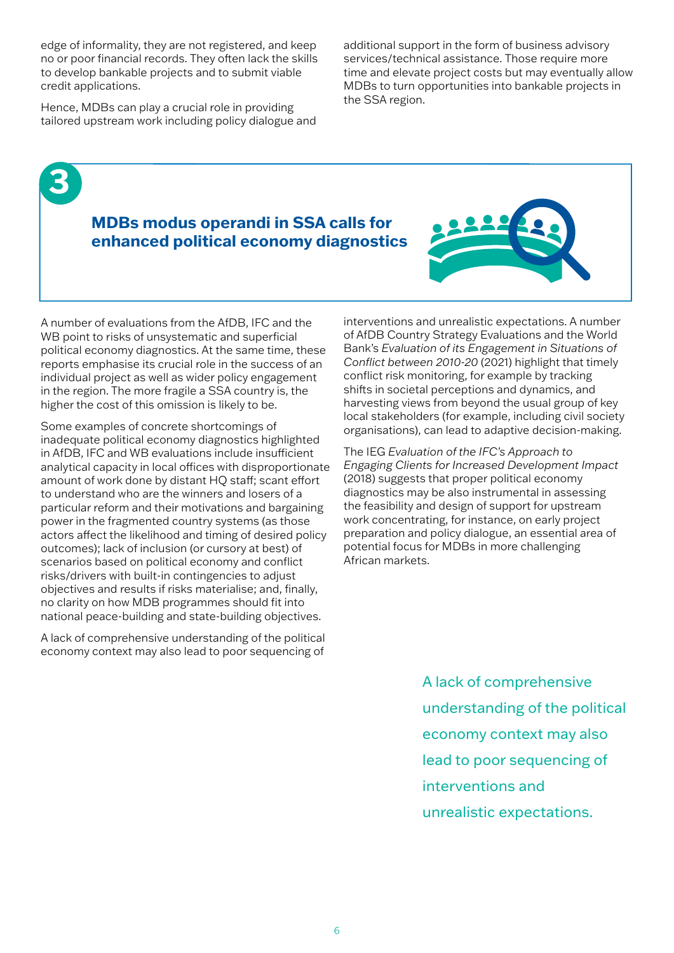edge of informality, they are not registered, and keep no or poor financial records. They often lack the skills to develop bankable projects and to submit viable credit applications.

Hence, MDBs can play a crucial role in providing tailored upstream work including policy dialogue and

**3**

additional support in the form of business advisory services/technical assistance. Those require more time and elevate project costs but may eventually allow MDBs to turn opportunities into bankable projects in the SSA region.

## **MDBs modus operandi in SSA calls for enhanced political economy diagnostics**



A number of evaluations from the AfDB, IFC and the WB point to risks of unsystematic and superficial political economy diagnostics. At the same time, these reports emphasise its crucial role in the success of an individual project as well as wider policy engagement in the region. The more fragile a SSA country is, the higher the cost of this omission is likely to be.

Some examples of concrete shortcomings of inadequate political economy diagnostics highlighted in AfDB, IFC and WB evaluations include insufficient analytical capacity in local offices with disproportionate amount of work done by distant HQ staff; scant effort to understand who are the winners and losers of a particular reform and their motivations and bargaining power in the fragmented country systems (as those actors affect the likelihood and timing of desired policy outcomes); lack of inclusion (or cursory at best) of scenarios based on political economy and conflict risks/drivers with built-in contingencies to adjust objectives and results if risks materialise; and, finally, no clarity on how MDB programmes should fit into national peace-building and state-building objectives.

A lack of comprehensive understanding of the political economy context may also lead to poor sequencing of interventions and unrealistic expectations. A number of AfDB Country Strategy Evaluations and the World Bank's *Evaluation of its Engagement in Situations of Conflict between 2010-20* (2021) highlight that timely conflict risk monitoring, for example by tracking shifts in societal perceptions and dynamics, and harvesting views from beyond the usual group of key local stakeholders (for example, including civil society organisations), can lead to adaptive decision-making.

The IEG *Evaluation of the IFC's Approach to Engaging Clients for Increased Development Impact*  (2018) suggests that proper political economy diagnostics may be also instrumental in assessing the feasibility and design of support for upstream work concentrating, for instance, on early project preparation and policy dialogue, an essential area of potential focus for MDBs in more challenging African markets.

> A lack of comprehensive understanding of the political economy context may also lead to poor sequencing of interventions and unrealistic expectations.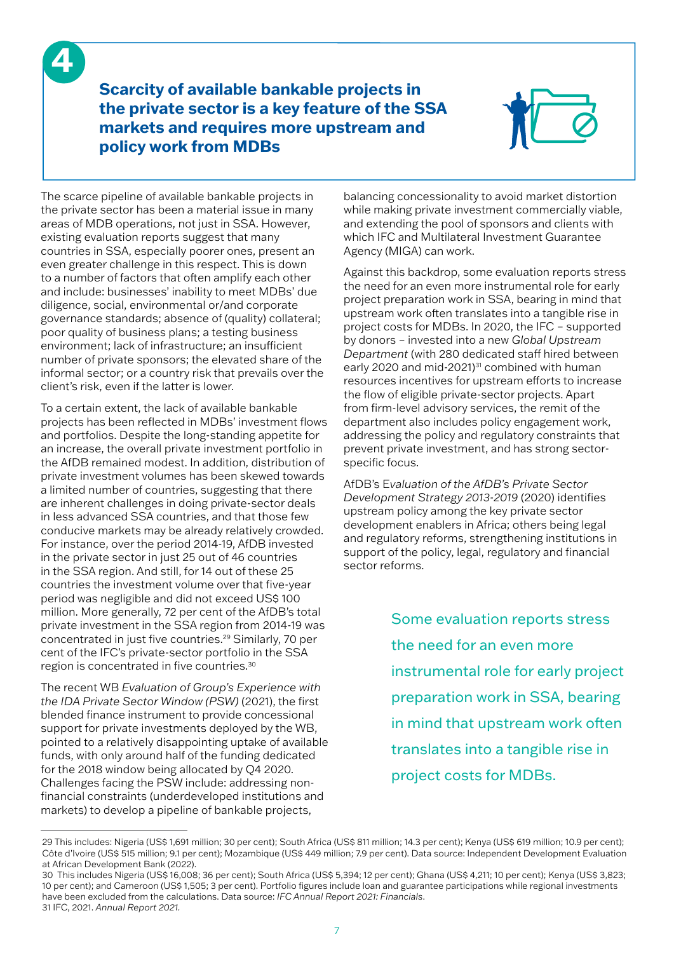**4**

**Scarcity of available bankable projects in the private sector is a key feature of the SSA markets and requires more upstream and policy work from MDBs**



The scarce pipeline of available bankable projects in the private sector has been a material issue in many areas of MDB operations, not just in SSA. However, existing evaluation reports suggest that many countries in SSA, especially poorer ones, present an even greater challenge in this respect. This is down to a number of factors that often amplify each other and include: businesses' inability to meet MDBs' due diligence, social, environmental or/and corporate governance standards; absence of (quality) collateral; poor quality of business plans; a testing business environment; lack of infrastructure; an insufficient number of private sponsors; the elevated share of the informal sector; or a country risk that prevails over the client's risk, even if the latter is lower.

To a certain extent, the lack of available bankable projects has been reflected in MDBs' investment flows and portfolios. Despite the long-standing appetite for an increase, the overall private investment portfolio in the AfDB remained modest. In addition, distribution of private investment volumes has been skewed towards a limited number of countries, suggesting that there are inherent challenges in doing private-sector deals in less advanced SSA countries, and that those few conducive markets may be already relatively crowded. For instance, over the period 2014-19, AfDB invested in the private sector in just 25 out of 46 countries in the SSA region. And still, for 14 out of these 25 countries the investment volume over that five-year period was negligible and did not exceed US\$ 100 million. More generally, 72 per cent of the AfDB's total private investment in the SSA region from 2014-19 was concentrated in just five countries.29 Similarly, 70 per cent of the IFC's private-sector portfolio in the SSA region is concentrated in five countries.30

The recent WB *Evaluation of Group's Experience with the IDA Private Sector Window (PSW)* (2021), the first blended finance instrument to provide concessional support for private investments deployed by the WB, pointed to a relatively disappointing uptake of available funds, with only around half of the funding dedicated for the 2018 window being allocated by Q4 2020. Challenges facing the PSW include: addressing nonfinancial constraints (underdeveloped institutions and markets) to develop a pipeline of bankable projects,

balancing concessionality to avoid market distortion while making private investment commercially viable, and extending the pool of sponsors and clients with which IFC and Multilateral Investment Guarantee Agency (MIGA) can work.

Against this backdrop, some evaluation reports stress the need for an even more instrumental role for early project preparation work in SSA, bearing in mind that upstream work often translates into a tangible rise in project costs for MDBs. In 2020, the IFC – supported by donors – invested into a new *Global Upstream Department* (with 280 dedicated staff hired between early 2020 and mid-2021)<sup>31</sup> combined with human resources incentives for upstream efforts to increase the flow of eligible private-sector projects. Apart from firm-level advisory services, the remit of the department also includes policy engagement work, addressing the policy and regulatory constraints that prevent private investment, and has strong sectorspecific focus.

AfDB's E*valuation of the AfDB's Private Sector Development Strategy 2013-2019* (2020) identifies upstream policy among the key private sector development enablers in Africa; others being legal and regulatory reforms, strengthening institutions in support of the policy, legal, regulatory and financial sector reforms.

> Some evaluation reports stress the need for an even more instrumental role for early project preparation work in SSA, bearing in mind that upstream work often translates into a tangible rise in project costs for MDBs.

<sup>29</sup> This includes: Nigeria (US\$ 1,691 million; 30 per cent); South Africa (US\$ 811 million; 14.3 per cent); Kenya (US\$ 619 million; 10.9 per cent); Côte d'Ivoire (US\$ 515 million; 9.1 per cent); Mozambique (US\$ 449 million; 7.9 per cent). Data source: Independent Development Evaluation at African Development Bank (2022).

<sup>30</sup> This includes Nigeria (US\$ 16,008; 36 per cent); South Africa (US\$ 5,394; 12 per cent); Ghana (US\$ 4,211; 10 per cent); Kenya (US\$ 3,823; 10 per cent); and Cameroon (US\$ 1,505; 3 per cent). Portfolio figures include loan and guarantee participations while regional investments have been excluded from the calculations. Data source: *IFC Annual Report 2021: Financials*. 31 IFC, 2021. *Annual Report 2021.*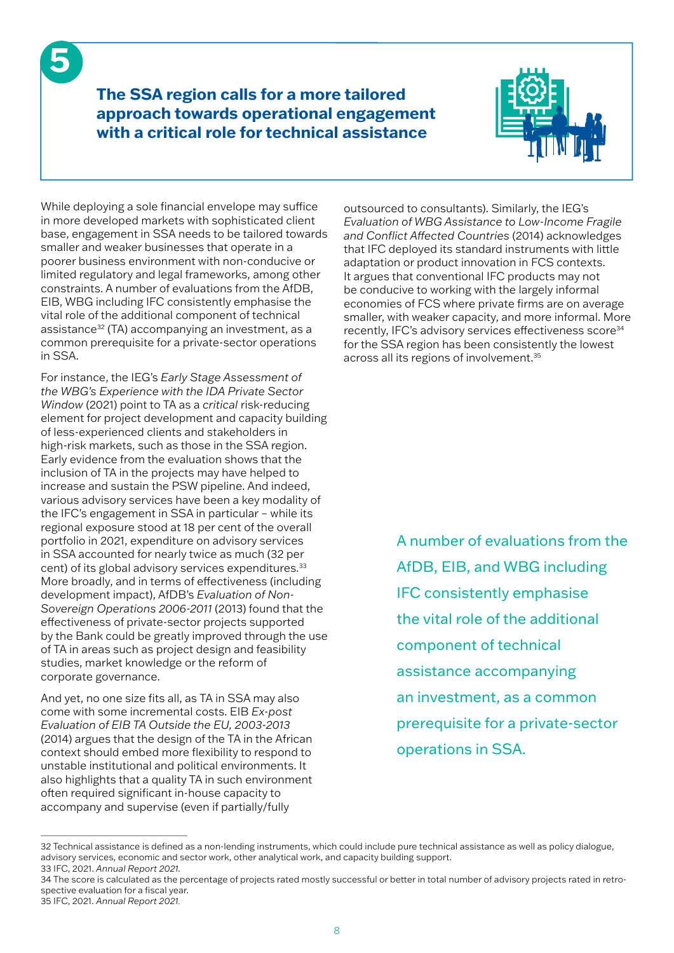**The SSA region calls for a more tailored approach towards operational engagement with a critical role for technical assistance** 



While deploying a sole financial envelope may suffice in more developed markets with sophisticated client base, engagement in SSA needs to be tailored towards smaller and weaker businesses that operate in a poorer business environment with non-conducive or limited regulatory and legal frameworks, among other constraints. A number of evaluations from the AfDB, EIB, WBG including IFC consistently emphasise the vital role of the additional component of technical assistance32 (TA) accompanying an investment, as a common prerequisite for a private-sector operations in SSA.

**5**

For instance, the IEG's *Early Stage Assessment of the WBG's Experience with the IDA Private Sector Window* (2021) point to TA as a *critical* risk-reducing element for project development and capacity building of less-experienced clients and stakeholders in high-risk markets, such as those in the SSA region. Early evidence from the evaluation shows that the inclusion of TA in the projects may have helped to increase and sustain the PSW pipeline. And indeed, various advisory services have been a key modality of the IFC's engagement in SSA in particular – while its regional exposure stood at 18 per cent of the overall portfolio in 2021, expenditure on advisory services in SSA accounted for nearly twice as much (32 per cent) of its global advisory services expenditures.<sup>33</sup> More broadly, and in terms of effectiveness (including development impact), AfDB's *Evaluation of Non-Sovereign Operations 2006-2011* (2013) found that the effectiveness of private-sector projects supported by the Bank could be greatly improved through the use of TA in areas such as project design and feasibility studies, market knowledge or the reform of corporate governance.

And yet, no one size fits all, as TA in SSA may also come with some incremental costs. EIB *Ex-post Evaluation of EIB TA Outside the EU, 2003-2013*  (2014) argues that the design of the TA in the African context should embed more flexibility to respond to unstable institutional and political environments. It also highlights that a quality TA in such environment often required significant in-house capacity to accompany and supervise (even if partially/fully

outsourced to consultants). Similarly, the IEG's *Evaluation of WBG Assistance to Low-Income Fragile and Conflict Affected Countries* (2014) acknowledges that IFC deployed its standard instruments with little adaptation or product innovation in FCS contexts. It argues that conventional IFC products may not be conducive to working with the largely informal economies of FCS where private firms are on average smaller, with weaker capacity, and more informal. More recently, IFC's advisory services effectiveness score<sup>34</sup> for the SSA region has been consistently the lowest across all its regions of involvement.35

> A number of evaluations from the AfDB, EIB, and WBG including IFC consistently emphasise the vital role of the additional component of technical assistance accompanying an investment, as a common prerequisite for a private-sector operations in SSA.

<sup>32</sup> Technical assistance is defined as a non-lending instruments, which could include pure technical assistance as well as policy dialogue, advisory services, economic and sector work, other analytical work, and capacity building support. 33 IFC, 2021. *Annual Report 2021.*

<sup>34</sup> The score is calculated as the percentage of projects rated mostly successful or better in total number of advisory projects rated in retrospective evaluation for a fiscal year.

<sup>35</sup> IFC, 2021. *Annual Report 2021.*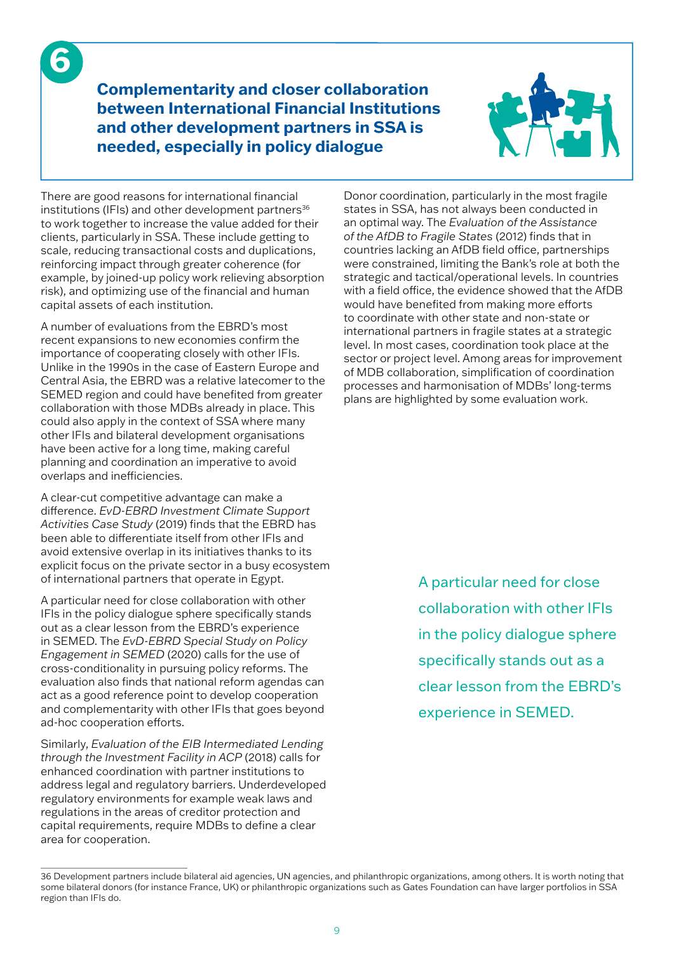**Complementarity and closer collaboration between International Financial Institutions and other development partners in SSA is needed, especially in policy dialogue**



There are good reasons for international financial institutions (IFIs) and other development partners $36$ to work together to increase the value added for their clients, particularly in SSA. These include getting to scale, reducing transactional costs and duplications, reinforcing impact through greater coherence (for example, by joined-up policy work relieving absorption risk), and optimizing use of the financial and human capital assets of each institution.

**6**

A number of evaluations from the EBRD's most recent expansions to new economies confirm the importance of cooperating closely with other IFIs. Unlike in the 1990s in the case of Eastern Europe and Central Asia, the EBRD was a relative latecomer to the SEMED region and could have benefited from greater collaboration with those MDBs already in place. This could also apply in the context of SSA where many other IFIs and bilateral development organisations have been active for a long time, making careful planning and coordination an imperative to avoid overlaps and inefficiencies.

A clear-cut competitive advantage can make a difference. *EvD-EBRD Investment Climate Support Activities Case Study* (2019) finds that the EBRD has been able to differentiate itself from other IFIs and avoid extensive overlap in its initiatives thanks to its explicit focus on the private sector in a busy ecosystem of international partners that operate in Egypt.

A particular need for close collaboration with other IFIs in the policy dialogue sphere specifically stands out as a clear lesson from the EBRD's experience in SEMED. The *EvD-EBRD Special Study on Policy Engagement in SEMED* (2020) calls for the use of cross-conditionality in pursuing policy reforms. The evaluation also finds that national reform agendas can act as a good reference point to develop cooperation and complementarity with other IFIs that goes beyond ad-hoc cooperation efforts.

Similarly, *Evaluation of the EIB Intermediated Lending through the Investment Facility in ACP* (2018) calls for enhanced coordination with partner institutions to address legal and regulatory barriers. Underdeveloped regulatory environments for example weak laws and regulations in the areas of creditor protection and capital requirements, require MDBs to define a clear area for cooperation.

Donor coordination, particularly in the most fragile states in SSA, has not always been conducted in an optimal way. The *Evaluation of the Assistance of the AfDB to Fragile States* (2012) finds that in countries lacking an AfDB field office, partnerships were constrained, limiting the Bank's role at both the strategic and tactical/operational levels. In countries with a field office, the evidence showed that the AfDB would have benefited from making more efforts to coordinate with other state and non-state or international partners in fragile states at a strategic level. In most cases, coordination took place at the sector or project level. Among areas for improvement of MDB collaboration, simplification of coordination processes and harmonisation of MDBs' long-terms plans are highlighted by some evaluation work.

> A particular need for close collaboration with other IFIs in the policy dialogue sphere specifically stands out as a clear lesson from the EBRD's experience in SEMED.

<sup>36</sup> Development partners include bilateral aid agencies, UN agencies, and philanthropic organizations, among others. It is worth noting that some bilateral donors (for instance France, UK) or philanthropic organizations such as Gates Foundation can have larger portfolios in SSA region than IFIs do.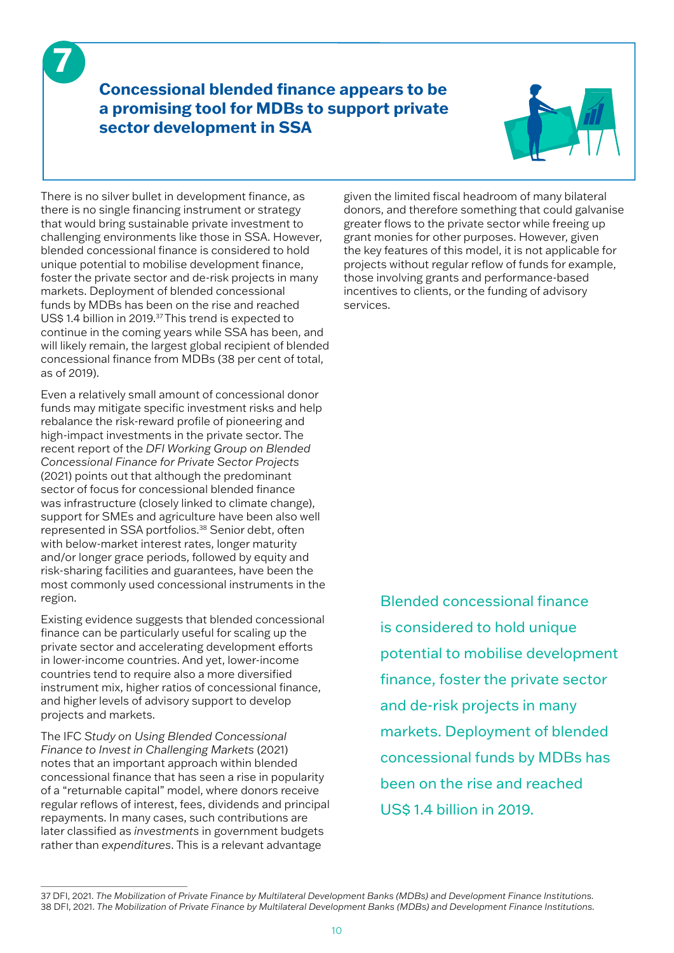## **Concessional blended finance appears to be a promising tool for MDBs to support private sector development in SSA**



There is no silver bullet in development finance, as there is no single financing instrument or strategy that would bring sustainable private investment to challenging environments like those in SSA. However, blended concessional finance is considered to hold unique potential to mobilise development finance, foster the private sector and de-risk projects in many markets. Deployment of blended concessional funds by MDBs has been on the rise and reached US\$ 1.4 billion in 2019.<sup>37</sup> This trend is expected to continue in the coming years while SSA has been, and will likely remain, the largest global recipient of blended concessional finance from MDBs (38 per cent of total, as of 2019).

**7**

Even a relatively small amount of concessional donor funds may mitigate specific investment risks and help rebalance the risk-reward profile of pioneering and high-impact investments in the private sector. The recent report of the *DFI Working Group on Blended Concessional Finance for Private Sector Projects*  (2021) points out that although the predominant sector of focus for concessional blended finance was infrastructure (closely linked to climate change), support for SMEs and agriculture have been also well represented in SSA portfolios.38 Senior debt, often with below-market interest rates, longer maturity and/or longer grace periods, followed by equity and risk-sharing facilities and guarantees, have been the most commonly used concessional instruments in the region.

Existing evidence suggests that blended concessional finance can be particularly useful for scaling up the private sector and accelerating development efforts in lower-income countries. And yet, lower-income countries tend to require also a more diversified instrument mix, higher ratios of concessional finance, and higher levels of advisory support to develop projects and markets.

The IFC *Study on Using Blended Concessional Finance to Invest in Challenging Markets* (2021) notes that an important approach within blended concessional finance that has seen a rise in popularity of a "returnable capital" model, where donors receive regular reflows of interest, fees, dividends and principal repayments. In many cases, such contributions are later classified as *investments* in government budgets rather than *expenditures*. This is a relevant advantage

given the limited fiscal headroom of many bilateral donors, and therefore something that could galvanise greater flows to the private sector while freeing up grant monies for other purposes. However, given the key features of this model, it is not applicable for projects without regular reflow of funds for example, those involving grants and performance-based incentives to clients, or the funding of advisory services.

> Blended concessional finance is considered to hold unique potential to mobilise development finance, foster the private sector and de-risk projects in many markets. Deployment of blended concessional funds by MDBs has been on the rise and reached US\$ 1.4 billion in 2019.

<sup>37</sup> DFI, 2021. *The Mobilization of Private Finance by Multilateral Development Banks (MDBs) and Development Finance Institutions.*  38 DFI, 2021. *The Mobilization of Private Finance by Multilateral Development Banks (MDBs) and Development Finance Institutions.*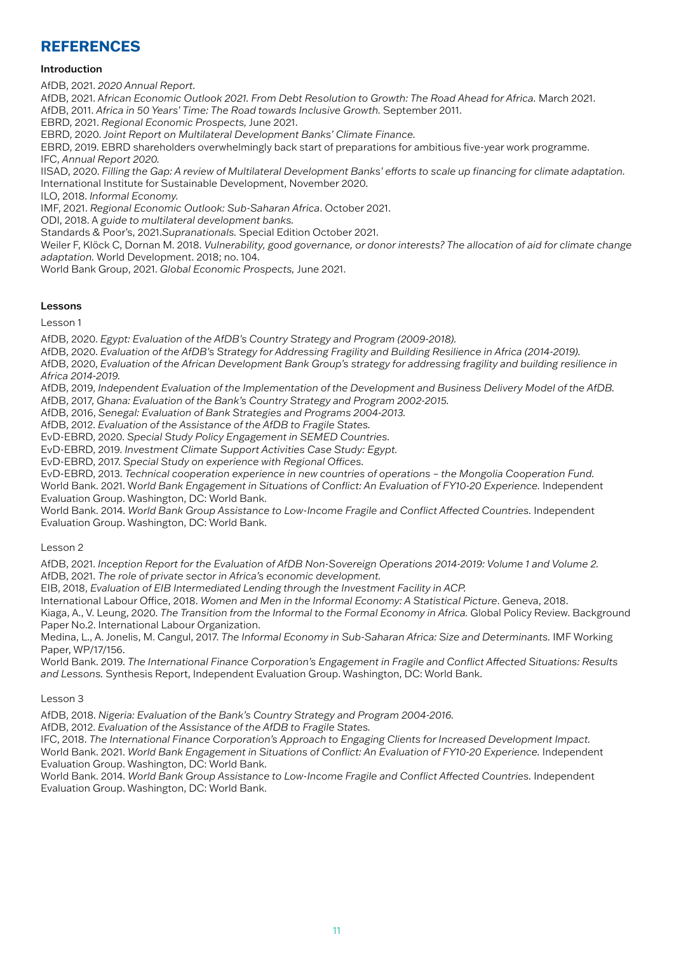#### **REFERENCES**

#### Introduction

AfDB, 2021. *2020 Annual Report.*

AfDB, 2021. A*frican Economic Outlook 2021. From Debt Resolution to Growth: The Road Ahead for Africa.* March 2021. AfDB, 2011. *Africa in 50 Years' Time: The Road towards Inclusive Growth.* September 2011.

EBRD, 2021. *Regional Economic Prospects,* June 2021.

EBRD, 2020. *Joint Report on Multilateral Development Banks' Climate Finance.*

EBRD, 2019. EBRD shareholders overwhelmingly back start of preparations for ambitious five-year work programme. IFC, *Annual Report 2020.*

IISAD, 2020. *Filling the Gap: A review of Multilateral Development Banks' efforts to scale up financing for climate adaptation.* International Institute for Sustainable Development, November 2020.

ILO, 2018. *Informal Economy.* 

IMF, 2021. *Regional Economic Outlook: Sub-Saharan Africa*. October 2021.

ODI, 2018. A *guide to multilateral development banks.*

Standards & Poor's, 2021.*Supranationals.* Special Edition October 2021.

Weiler F, Klöck C, Dornan M. 2018. *Vulnerability, good governance, or donor interests? The allocation of aid for climate change adaptation.* World Development. 2018; no. 104.

World Bank Group, 2021. *Global Economic Prospects,* June 2021.

#### Lessons

Lesson 1

AfDB, 2020. *Egypt: Evaluation of the AfDB's Country Strategy and Program (2009-2018).*

AfDB, 2020. *Evaluation of the AfDB's Strategy for Addressing Fragility and Building Resilience in Africa (2014-2019).*

AfDB, 2020, *Evaluation of the African Development Bank Group's strategy for addressing fragility and building resilience in Africa 2014-2019.*

AfDB, 2019, *Independent Evaluation of the Implementation of the Development and Business Delivery Model of the AfDB.*

AfDB, 2017, *Ghana: Evaluation of the Bank's Country Strategy and Program 2002-2015.*

AfDB, 2016, *Senegal: Evaluation of Bank Strategies and Programs 2004-2013.*

AfDB, 2012. *Evaluation of the Assistance of the AfDB to Fragile States.*

EvD-EBRD, 2020. *Special Study Policy Engagement in SEMED Countries.*

EvD-EBRD, 2019. *Investment Climate Support Activities Case Study: Egypt.*

EvD-EBRD, 2017. *Special Study on experience with Regional Offices.*

EvD-EBRD, 2013. *Technical cooperation experience in new countries of operations – the Mongolia Cooperation Fund.* World Bank. 2021. World Bank Engagement in Situations of Conflict: An Evaluation of FY10-20 Experience. Independent Evaluation Group. Washington, DC: World Bank.

World Bank. 2014. *World Bank Group Assistance to Low-Income Fragile and Conflict Affected Countries.* Independent Evaluation Group. Washington, DC: World Bank.

Lesson 2

AfDB, 2021. *Inception Report for the Evaluation of AfDB Non-Sovereign Operations 2014-2019: Volume 1 and Volume 2.* AfDB, 2021. *The role of private sector in Africa's economic development.*

EIB, 2018, *Evaluation of EIB Intermediated Lending through the Investment Facility in ACP.*

International Labour Office, 2018. *Women and Men in the Informal Economy: A Statistical Picture*. Geneva, 2018.

Kiaga, A., V. Leung, 2020. *The Transition from the Informal to the Formal Economy in Africa.* Global Policy Review. Background Paper No.2. International Labour Organization.

Medina, L., A. Jonelis, M. Cangul, 2017. *The Informal Economy in Sub-Saharan Africa: Size and Determinants.* IMF Working Paper, WP/17/156.

World Bank. 2019. *The International Finance Corporation's Engagement in Fragile and Conflict Affected Situations: Results and Lessons.* Synthesis Report, Independent Evaluation Group. Washington, DC: World Bank.

#### Lesson 3

AfDB, 2018. *Nigeria: Evaluation of the Bank's Country Strategy and Program 2004-2016.*

AfDB, 2012. *Evaluation of the Assistance of the AfDB to Fragile States.*

IFC, 2018. *The International Finance Corporation's Approach to Engaging Clients for Increased Development Impact.*  World Bank. 2021. *World Bank Engagement in Situations of Conflict: An Evaluation of FY10-20 Experience.* Independent Evaluation Group. Washington, DC: World Bank.

World Bank. 2014. *World Bank Group Assistance to Low-Income Fragile and Conflict Affected Countries.* Independent Evaluation Group. Washington, DC: World Bank.